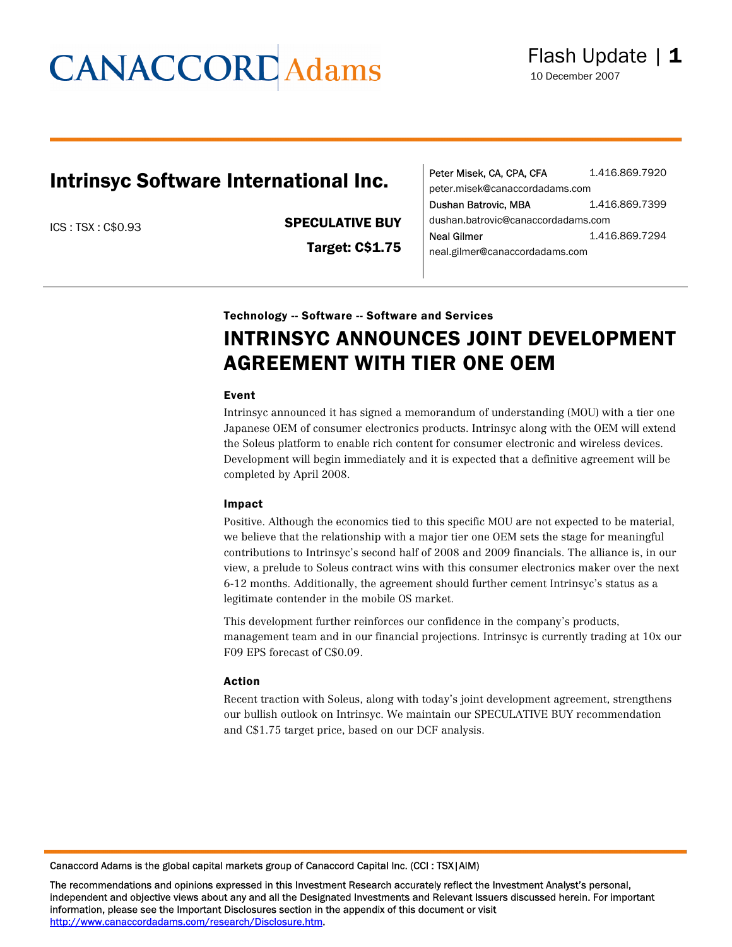### Intrinsyc Software International Inc.

ICS : TSX : C\$0.93 SPECULATIVE BUY

Target: C\$1.75

| Peter Misek, CA, CPA, CFA          | 1.416.869.7920 |  |  |
|------------------------------------|----------------|--|--|
| peter.misek@canaccordadams.com     |                |  |  |
| Dushan Batrovic, MBA               | 1.416.869.7399 |  |  |
| dushan.batrovic@canaccordadams.com |                |  |  |
| Neal Gilmer                        | 1.416.869.7294 |  |  |
| neal.gilmer@canaccordadams.com     |                |  |  |

#### Technology -- Software -- Software and Services

### INTRINSYC ANNOUNCES JOINT DEVELOPMENT AGREEMENT WITH TIER ONE OEM

#### Event

Intrinsyc announced it has signed a memorandum of understanding (MOU) with a tier one Japanese OEM of consumer electronics products. Intrinsyc along with the OEM will extend the Soleus platform to enable rich content for consumer electronic and wireless devices. Development will begin immediately and it is expected that a definitive agreement will be completed by April 2008.

#### Impact

Positive. Although the economics tied to this specific MOU are not expected to be material, we believe that the relationship with a major tier one OEM sets the stage for meaningful contributions to Intrinsyc's second half of 2008 and 2009 financials. The alliance is, in our view, a prelude to Soleus contract wins with this consumer electronics maker over the next 6-12 months. Additionally, the agreement should further cement Intrinsyc's status as a legitimate contender in the mobile OS market.

This development further reinforces our confidence in the company's products, management team and in our financial projections. Intrinsyc is currently trading at 10x our F09 EPS forecast of C\$0.09.

#### Action

Recent traction with Soleus, along with today's joint development agreement, strengthens our bullish outlook on Intrinsyc. We maintain our SPECULATIVE BUY recommendation and C\$1.75 target price, based on our DCF analysis.

Canaccord Adams is the global capital markets group of Canaccord Capital Inc. (CCI : TSX|AIM)

The recommendations and opinions expressed in this Investment Research accurately reflect the Investment Analyst's personal, independent and objective views about any and all the Designated Investments and Relevant Issuers discussed herein. For important information, please see the Important Disclosures section in the appendix of this document or visit http://www.canaccordadams.com/research/Disclosure.htm.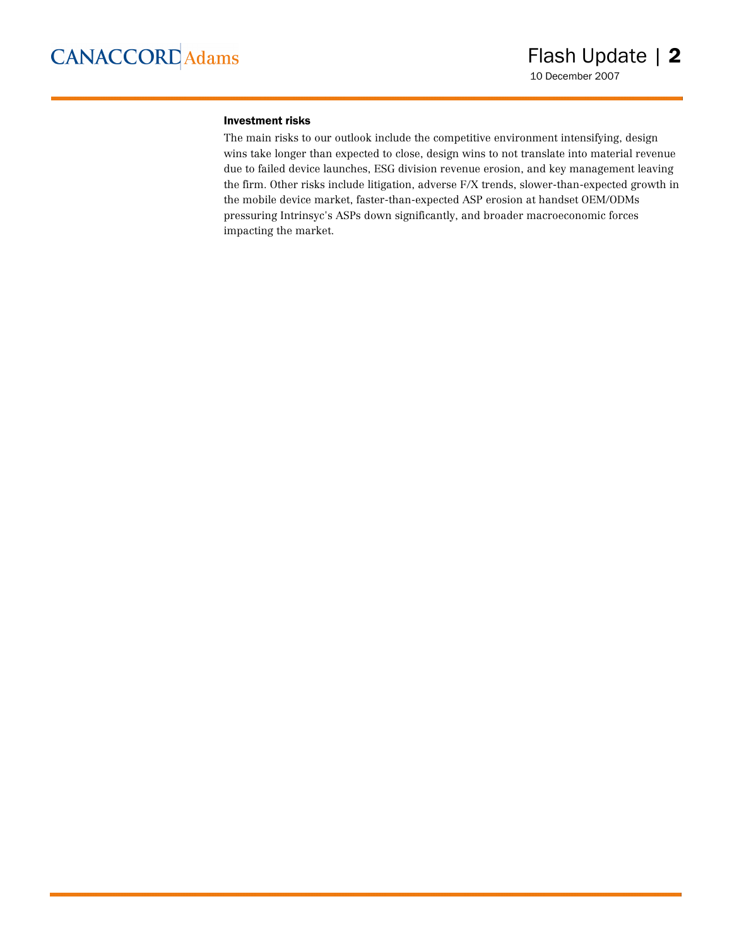#### Investment risks

The main risks to our outlook include the competitive environment intensifying, design wins take longer than expected to close, design wins to not translate into material revenue due to failed device launches, ESG division revenue erosion, and key management leaving the firm. Other risks include litigation, adverse F/X trends, slower-than-expected growth in the mobile device market, faster-than-expected ASP erosion at handset OEM/ODMs pressuring Intrinsyc's ASPs down significantly, and broader macroeconomic forces impacting the market.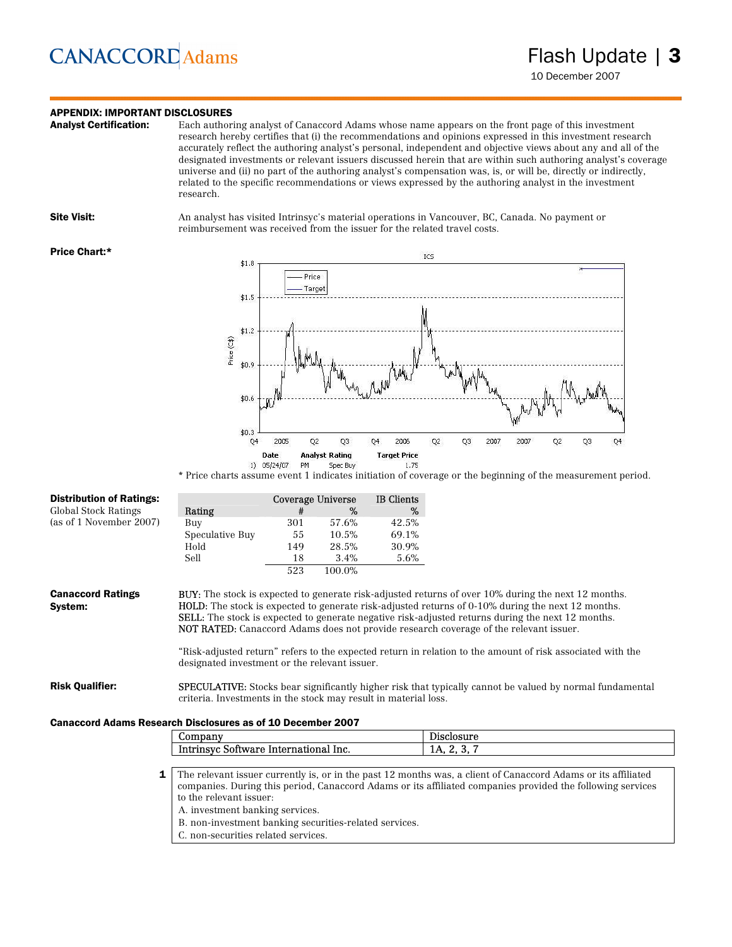### **APPENDIX: IMPORTANT DISCLOSURES**<br>**Analyst Certification:** Each author

Each authoring analyst of Canaccord Adams whose name appears on the front page of this investment research hereby certifies that (i) the recommendations and opinions expressed in this investment research accurately reflect the authoring analyst's personal, independent and objective views about any and all of the designated investments or relevant issuers discussed herein that are within such authoring analyst's coverage universe and (ii) no part of the authoring analyst's compensation was, is, or will be, directly or indirectly, related to the specific recommendations or views expressed by the authoring analyst in the investment research.

Site Visit: An analyst has visited Intrinsyc's material operations in Vancouver, BC, Canada. No payment or reimbursement was received from the issuer for the related travel costs.

#### Price Chart:\*



\* Price charts assume event 1 indicates initiation of coverage or the beginning of the measurement period.

| <b>Distribution of Ratings:</b>                                    |                                                                                                                                                                                                                                                                                                                                                                                                                                    |     | Coverage Universe | <b>IB</b> Clients |                                                                                                                 |  |
|--------------------------------------------------------------------|------------------------------------------------------------------------------------------------------------------------------------------------------------------------------------------------------------------------------------------------------------------------------------------------------------------------------------------------------------------------------------------------------------------------------------|-----|-------------------|-------------------|-----------------------------------------------------------------------------------------------------------------|--|
| Global Stock Ratings                                               | Rating                                                                                                                                                                                                                                                                                                                                                                                                                             | #   | %                 | %                 |                                                                                                                 |  |
| (as of 1 November 2007)                                            | Buy                                                                                                                                                                                                                                                                                                                                                                                                                                | 301 | 57.6%             | 42.5%             |                                                                                                                 |  |
|                                                                    | Speculative Buy                                                                                                                                                                                                                                                                                                                                                                                                                    | 55  | 10.5%             | 69.1%             |                                                                                                                 |  |
|                                                                    | Hold                                                                                                                                                                                                                                                                                                                                                                                                                               | 149 | 28.5%             | 30.9%             |                                                                                                                 |  |
|                                                                    | Sell                                                                                                                                                                                                                                                                                                                                                                                                                               | 18  | 3.4%              | 5.6%              |                                                                                                                 |  |
|                                                                    |                                                                                                                                                                                                                                                                                                                                                                                                                                    | 523 | 100.0%            |                   |                                                                                                                 |  |
| <b>Canaccord Ratings</b><br>System:                                | <b>BUY:</b> The stock is expected to generate risk-adjusted returns of over 10% during the next 12 months.<br><b>HOLD:</b> The stock is expected to generate risk-adjusted returns of 0-10% during the next 12 months.<br><b>SELL:</b> The stock is expected to generate negative risk-adjusted returns during the next 12 months.<br><b>NOT RATED:</b> Canaccord Adams does not provide research coverage of the relevant issuer. |     |                   |                   |                                                                                                                 |  |
|                                                                    | "Risk-adjusted return" refers to the expected return in relation to the amount of risk associated with the<br>designated investment or the relevant issuer.                                                                                                                                                                                                                                                                        |     |                   |                   |                                                                                                                 |  |
| <b>Risk Qualifier:</b>                                             | criteria. Investments in the stock may result in material loss.                                                                                                                                                                                                                                                                                                                                                                    |     |                   |                   | <b>SPECULATIVE:</b> Stocks bear significantly higher risk that typically cannot be valued by normal fundamental |  |
| <b>Canaccord Adams Research Disclosures as of 10 December 2007</b> |                                                                                                                                                                                                                                                                                                                                                                                                                                    |     |                   |                   |                                                                                                                 |  |
|                                                                    | Company                                                                                                                                                                                                                                                                                                                                                                                                                            |     |                   |                   | Disclosure                                                                                                      |  |
|                                                                    | Intrinsyc Software International Inc.                                                                                                                                                                                                                                                                                                                                                                                              |     |                   |                   | 1A, 2, 3, 7                                                                                                     |  |
|                                                                    |                                                                                                                                                                                                                                                                                                                                                                                                                                    |     |                   |                   |                                                                                                                 |  |
| 1                                                                  | The relevant issuer currently is, or in the past 12 months was, a client of Canaccord Adams or its affiliated                                                                                                                                                                                                                                                                                                                      |     |                   |                   |                                                                                                                 |  |
|                                                                    | companies. During this period, Canaccord Adams or its affiliated companies provided the following services                                                                                                                                                                                                                                                                                                                         |     |                   |                   |                                                                                                                 |  |
|                                                                    | to the relevant issuer:                                                                                                                                                                                                                                                                                                                                                                                                            |     |                   |                   |                                                                                                                 |  |

A. investment banking services.

B. non-investment banking securities-related services.

C. non-securities related services.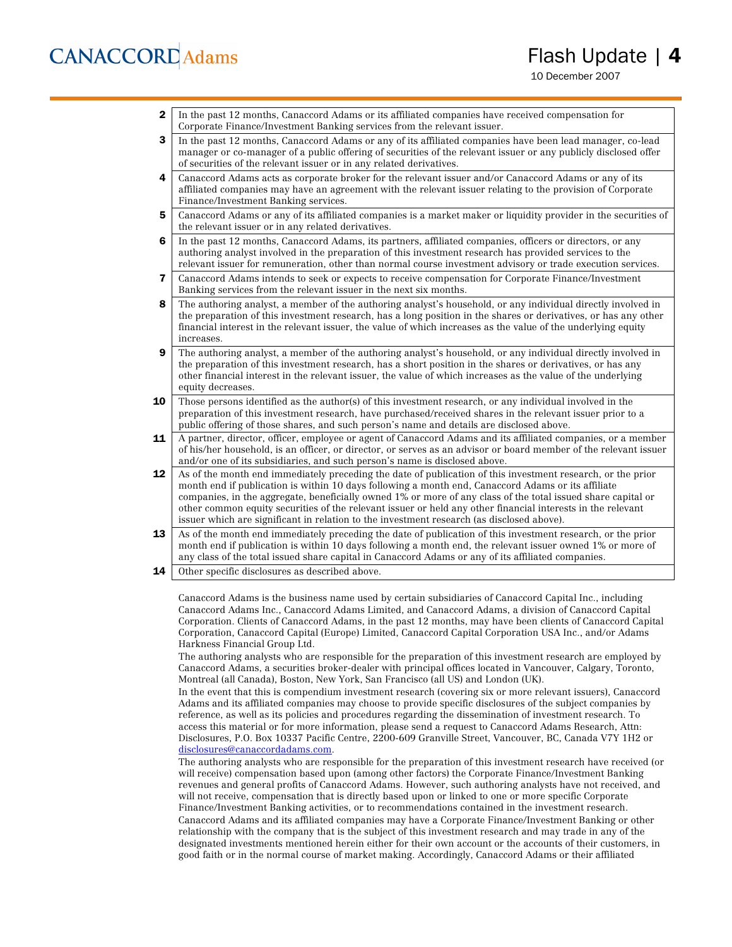10 December 2007

- **2** In the past 12 months, Canaccord Adams or its affiliated companies have received compensation for Corporate Finance/Investment Banking services from the relevant issuer.
- 3 In the past 12 months, Canaccord Adams or any of its affiliated companies have been lead manager, co-lead manager or co-manager of a public offering of securities of the relevant issuer or any publicly disclosed offer of securities of the relevant issuer or in any related derivatives.
- 4 Canaccord Adams acts as corporate broker for the relevant issuer and/or Canaccord Adams or any of its affiliated companies may have an agreement with the relevant issuer relating to the provision of Corporate Finance/Investment Banking services.
- 5 Canaccord Adams or any of its affiliated companies is a market maker or liquidity provider in the securities of the relevant issuer or in any related derivatives.
- 6 In the past 12 months, Canaccord Adams, its partners, affiliated companies, officers or directors, or any authoring analyst involved in the preparation of this investment research has provided services to the relevant issuer for remuneration, other than normal course investment advisory or trade execution services.
- 7 Canaccord Adams intends to seek or expects to receive compensation for Corporate Finance/Investment Banking services from the relevant issuer in the next six months.
- 8 The authoring analyst, a member of the authoring analyst's household, or any individual directly involved in the preparation of this investment research, has a long position in the shares or derivatives, or has any other financial interest in the relevant issuer, the value of which increases as the value of the underlying equity increases.
- 9 The authoring analyst, a member of the authoring analyst's household, or any individual directly involved in the preparation of this investment research, has a short position in the shares or derivatives, or has any other financial interest in the relevant issuer, the value of which increases as the value of the underlying equity decreases.
- **10** Those persons identified as the author(s) of this investment research, or any individual involved in the preparation of this investment research, have purchased/received shares in the relevant issuer prior to a public offering of those shares, and such person's name and details are disclosed above.
- 11 A partner, director, officer, employee or agent of Canaccord Adams and its affiliated companies, or a member of his/her household, is an officer, or director, or serves as an advisor or board member of the relevant issuer and/or one of its subsidiaries, and such person's name is disclosed above.
- **12** As of the month end immediately preceding the date of publication of this investment research, or the prior month end if publication is within 10 days following a month end, Canaccord Adams or its affiliate companies, in the aggregate, beneficially owned 1% or more of any class of the total issued share capital or other common equity securities of the relevant issuer or held any other financial interests in the relevant issuer which are significant in relation to the investment research (as disclosed above).
- 13 As of the month end immediately preceding the date of publication of this investment research, or the prior month end if publication is within 10 days following a month end, the relevant issuer owned 1% or more of any class of the total issued share capital in Canaccord Adams or any of its affiliated companies.
- **14** Other specific disclosures as described above.

Canaccord Adams is the business name used by certain subsidiaries of Canaccord Capital Inc., including Canaccord Adams Inc., Canaccord Adams Limited, and Canaccord Adams, a division of Canaccord Capital Corporation. Clients of Canaccord Adams, in the past 12 months, may have been clients of Canaccord Capital Corporation, Canaccord Capital (Europe) Limited, Canaccord Capital Corporation USA Inc., and/or Adams Harkness Financial Group Ltd.

The authoring analysts who are responsible for the preparation of this investment research are employed by Canaccord Adams, a securities broker-dealer with principal offices located in Vancouver, Calgary, Toronto, Montreal (all Canada), Boston, New York, San Francisco (all US) and London (UK).

In the event that this is compendium investment research (covering six or more relevant issuers), Canaccord Adams and its affiliated companies may choose to provide specific disclosures of the subject companies by reference, as well as its policies and procedures regarding the dissemination of investment research. To access this material or for more information, please send a request to Canaccord Adams Research, Attn: Disclosures, P.O. Box 10337 Pacific Centre, 2200-609 Granville Street, Vancouver, BC, Canada V7Y 1H2 or disclosures@canaccordadams.com.

The authoring analysts who are responsible for the preparation of this investment research have received (or will receive) compensation based upon (among other factors) the Corporate Finance/Investment Banking revenues and general profits of Canaccord Adams. However, such authoring analysts have not received, and will not receive, compensation that is directly based upon or linked to one or more specific Corporate Finance/Investment Banking activities, or to recommendations contained in the investment research. Canaccord Adams and its affiliated companies may have a Corporate Finance/Investment Banking or other relationship with the company that is the subject of this investment research and may trade in any of the designated investments mentioned herein either for their own account or the accounts of their customers, in good faith or in the normal course of market making. Accordingly, Canaccord Adams or their affiliated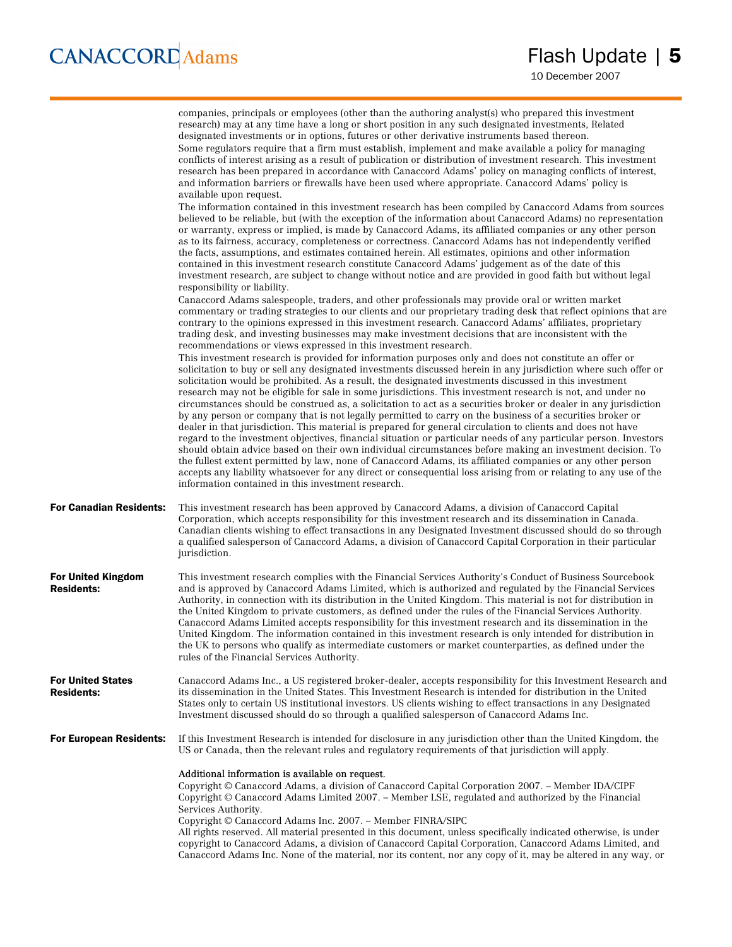|                                                | companies, principals or employees (other than the authoring analyst(s) who prepared this investment<br>research) may at any time have a long or short position in any such designated investments, Related<br>designated investments or in options, futures or other derivative instruments based thereon.<br>Some regulators require that a firm must establish, implement and make available a policy for managing<br>conflicts of interest arising as a result of publication or distribution of investment research. This investment<br>research has been prepared in accordance with Canaccord Adams' policy on managing conflicts of interest,<br>and information barriers or firewalls have been used where appropriate. Canaccord Adams' policy is<br>available upon request.                                                                                                                                                                                                                                                                                                                                                                                                                                                                                                                                     |
|------------------------------------------------|----------------------------------------------------------------------------------------------------------------------------------------------------------------------------------------------------------------------------------------------------------------------------------------------------------------------------------------------------------------------------------------------------------------------------------------------------------------------------------------------------------------------------------------------------------------------------------------------------------------------------------------------------------------------------------------------------------------------------------------------------------------------------------------------------------------------------------------------------------------------------------------------------------------------------------------------------------------------------------------------------------------------------------------------------------------------------------------------------------------------------------------------------------------------------------------------------------------------------------------------------------------------------------------------------------------------------|
|                                                | The information contained in this investment research has been compiled by Canaccord Adams from sources<br>believed to be reliable, but (with the exception of the information about Canaccord Adams) no representation<br>or warranty, express or implied, is made by Canaccord Adams, its affiliated companies or any other person<br>as to its fairness, accuracy, completeness or correctness. Canaccord Adams has not independently verified<br>the facts, assumptions, and estimates contained herein. All estimates, opinions and other information<br>contained in this investment research constitute Canaccord Adams' judgement as of the date of this<br>investment research, are subject to change without notice and are provided in good faith but without legal<br>responsibility or liability.                                                                                                                                                                                                                                                                                                                                                                                                                                                                                                             |
|                                                | Canaccord Adams salespeople, traders, and other professionals may provide oral or written market<br>commentary or trading strategies to our clients and our proprietary trading desk that reflect opinions that are<br>contrary to the opinions expressed in this investment research. Canaccord Adams' affiliates, proprietary<br>trading desk, and investing businesses may make investment decisions that are inconsistent with the<br>recommendations or views expressed in this investment research.                                                                                                                                                                                                                                                                                                                                                                                                                                                                                                                                                                                                                                                                                                                                                                                                                  |
|                                                | This investment research is provided for information purposes only and does not constitute an offer or<br>solicitation to buy or sell any designated investments discussed herein in any jurisdiction where such offer or<br>solicitation would be prohibited. As a result, the designated investments discussed in this investment<br>research may not be eligible for sale in some jurisdictions. This investment research is not, and under no<br>circumstances should be construed as, a solicitation to act as a securities broker or dealer in any jurisdiction<br>by any person or company that is not legally permitted to carry on the business of a securities broker or<br>dealer in that jurisdiction. This material is prepared for general circulation to clients and does not have<br>regard to the investment objectives, financial situation or particular needs of any particular person. Investors<br>should obtain advice based on their own individual circumstances before making an investment decision. To<br>the fullest extent permitted by law, none of Canaccord Adams, its affiliated companies or any other person<br>accepts any liability whatsoever for any direct or consequential loss arising from or relating to any use of the<br>information contained in this investment research. |
| <b>For Canadian Residents:</b>                 | This investment research has been approved by Canaccord Adams, a division of Canaccord Capital<br>Corporation, which accepts responsibility for this investment research and its dissemination in Canada.<br>Canadian clients wishing to effect transactions in any Designated Investment discussed should do so through<br>a qualified salesperson of Canaccord Adams, a division of Canaccord Capital Corporation in their particular<br>jurisdiction.                                                                                                                                                                                                                                                                                                                                                                                                                                                                                                                                                                                                                                                                                                                                                                                                                                                                   |
| <b>For United Kingdom</b><br><b>Residents:</b> | This investment research complies with the Financial Services Authority's Conduct of Business Sourcebook<br>and is approved by Canaccord Adams Limited, which is authorized and regulated by the Financial Services<br>Authority, in connection with its distribution in the United Kingdom. This material is not for distribution in<br>the United Kingdom to private customers, as defined under the rules of the Financial Services Authority.<br>Canaccord Adams Limited accepts responsibility for this investment research and its dissemination in the<br>United Kingdom. The information contained in this investment research is only intended for distribution in<br>the UK to persons who qualify as intermediate customers or market counterparties, as defined under the<br>rules of the Financial Services Authority.                                                                                                                                                                                                                                                                                                                                                                                                                                                                                        |
| <b>For United States</b><br><b>Residents:</b>  | Canaccord Adams Inc., a US registered broker-dealer, accepts responsibility for this Investment Research and<br>its dissemination in the United States. This Investment Research is intended for distribution in the United<br>States only to certain US institutional investors. US clients wishing to effect transactions in any Designated<br>Investment discussed should do so through a qualified salesperson of Canaccord Adams Inc.                                                                                                                                                                                                                                                                                                                                                                                                                                                                                                                                                                                                                                                                                                                                                                                                                                                                                 |
| <b>For European Residents:</b>                 | If this Investment Research is intended for disclosure in any jurisdiction other than the United Kingdom, the<br>US or Canada, then the relevant rules and regulatory requirements of that jurisdiction will apply.                                                                                                                                                                                                                                                                                                                                                                                                                                                                                                                                                                                                                                                                                                                                                                                                                                                                                                                                                                                                                                                                                                        |
|                                                | Additional information is available on request.<br>Copyright © Canaccord Adams, a division of Canaccord Capital Corporation 2007. - Member IDA/CIPF<br>Copyright © Canaccord Adams Limited 2007. - Member LSE, regulated and authorized by the Financial<br>Services Authority.<br>Copyright © Canaccord Adams Inc. 2007. - Member FINRA/SIPC<br>All rights reserved. All material presented in this document, unless specifically indicated otherwise, is under<br>copyright to Canaccord Adams, a division of Canaccord Capital Corporation, Canaccord Adams Limited, and<br>Canaccord Adams Inc. None of the material, nor its content, nor any copy of it, may be altered in any way, or                                                                                                                                                                                                                                                                                                                                                                                                                                                                                                                                                                                                                               |